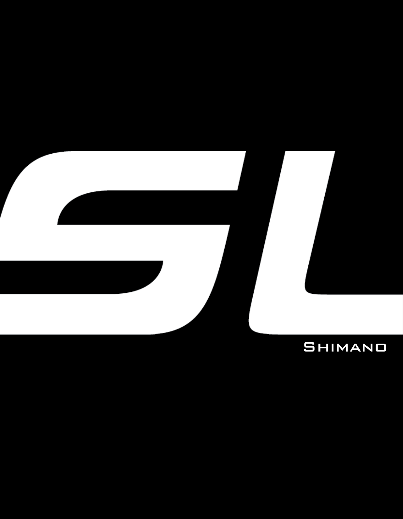

## **SHIMANO**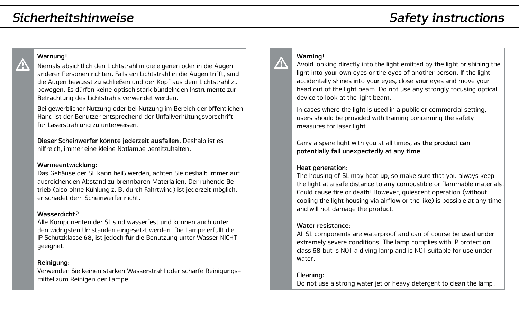## *Sicherheitshinweise*

# *Safety instructions*

### **Warnung!**

Niemals absichtlich den Lichtstrahl in die eigenen oder in die Augen anderer Personen richten. Falls ein Lichtstrahl in die Augen trifft, sind die Augen bewusst zu schließen und der Kopf aus dem Lichtstrahl zu bewegen. Es dürfen keine optisch stark bündelnden Instrumente zur Betrachtung des Lichtstrahls verwendet werden.

Bei gewerblicher Nutzung oder bei Nutzung im Bereich der öffentlichen Hand ist der Benutzer entsprechend der Unfallverhütungsvorschrift für Laserstrahlung zu unterweisen.

**Dieser Scheinwerfer könnte jederzeit ausfallen.** Deshalb ist es hilfreich, immer eine kleine Notlampe bereitzuhalten.

#### **Wärmeentwicklung:**

Das Gehäuse der SL kann heiß werden, achten Sie deshalb immer auf ausreichenden Abstand zu brennbaren Materialien. Der ruhende Betrieb (also ohne Kühlung z. B. durch Fahrtwind) ist jederzeit möglich, er schadet dem Scheinwerfer nicht.

#### **Wasserdicht?**

Alle Komponenten der SL sind wasserfest und können auch unter den widrigsten Umständen eingesetzt werden. Die Lampe erfüllt die IP Schutzklasse 68, ist jedoch für die Benutzung unter Wasser NICHT geeignet.

#### **Reinigung:**

Verwenden Sie keinen starken Wasserstrahl oder scharfe Reinigungsmittel zum Reinigen der Lampe.

## Λ

**Warning!**

Avoid looking directly into the light emitted by the light or shining the light into your own eyes or the eyes of another person. If the light accidentally shines into your eyes, close your eyes and move your head out of the light beam. Do not use any strongly focusing optical device to look at the light beam.

In cases where the light is used in a public or commercial setting, users should be provided with training concerning the safety measures for laser light.

Carry a spare light with you at all times, as **the product can potentially fail unexpectedly at any time.**

#### **Heat generation:**

The housing of SL may heat up; so make sure that you always keep the light at a safe distance to any combustible or flammable materials. Could cause fire or death! However, quiescent operation (without cooling the light housing via airflow or the like) is possible at any time and will not damage the product.

#### **Water resistance:**

All SL components are waterproof and can of course be used under extremely severe conditions. The lamp complies with IP protection class 68 but is NOT a diving lamp and is NOT suitable for use under water.

#### **Cleaning:**

Do not use a strong water jet or heavy detergent to clean the lamp.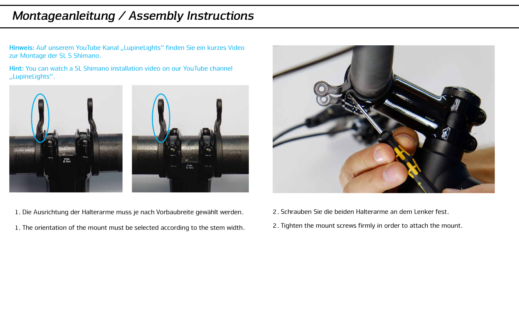Hinweis: Auf unserem YouTube Kanal "LupineLights" finden Sie ein kurzes Video zur Montage der SL S Shimano.

**Hint:** You can watch a SL Shimano installation video on our YouTube channel "LupineLights".



- 1. Die Ausrichtung der Halterarme muss je nach Vorbaubreite gewählt werden.
- 1. The orientation of the mount must be selected according to the stem width.



- 2. Schrauben Sie die beiden Halterarme an dem Lenker fest.
- 2. Tighten the mount screws firmly in order to attach the mount.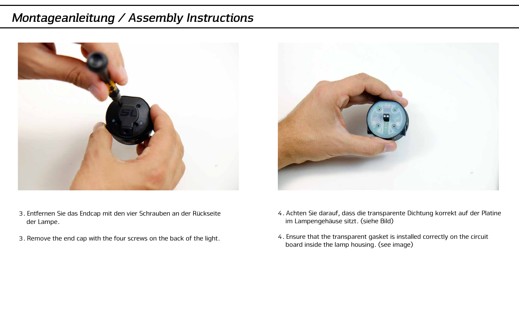



- 3. Entfernen Sie das Endcap mit den vier Schrauben an der Rückseite der Lampe.
- 3. Remove the end cap with the four screws on the back of the light.
- 4. Achten Sie darauf, dass die transparente Dichtung korrekt auf der Platine im Lampengehäuse sitzt. (siehe Bild)
- 4. Ensure that the transparent gasket is installed correctly on the circuit board inside the lamp housing. (see image)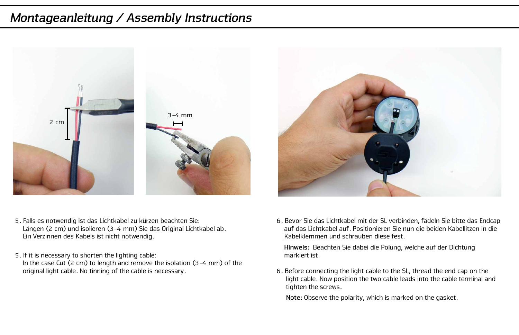



- 5. Falls es notwendig ist das Lichtkabel zu kürzen beachten Sie: Längen (2 cm) und isolieren (3-4 mm) Sie das Original Lichtkabel ab. Ein Verzinnen des Kabels ist nicht notwendig.
- 5. If it is necessary to shorten the lighting cable:

 In the case Cut (2 cm) to length and remove the isolation (3-4 mm) of the original light cable. No tinning of the cable is necessary.

6. Bevor Sie das Lichtkabel mit der SL verbinden, fädeln Sie bitte das Endcap auf das Lichtkabel auf. Positionieren Sie nun die beiden Kabellitzen in die Kabelklemmen und schrauben diese fest.

 **Hinweis:** Beachten Sie dabei die Polung, welche auf der Dichtung markiert ist.

6. Before connecting the light cable to the SL, thread the end cap on the light cable. Now position the two cable leads into the cable terminal and tighten the screws.

 **Note:** Observe the polarity, which is marked on the gasket.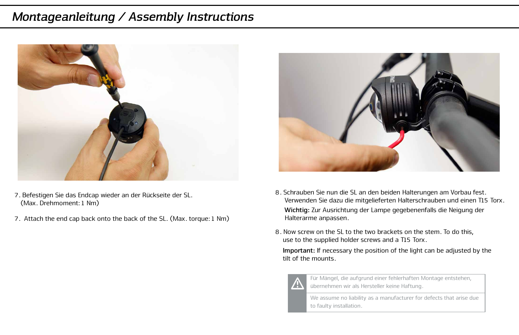

- 7. Befestigen Sie das Endcap wieder an der Rückseite der SL. (Max. Drehmoment: 1 Nm)
- 7. Attach the end cap back onto the back of the SL. (Max. torque: 1 Nm)



- 8. Schrauben Sie nun die SL an den beiden Halterungen am Vorbau fest. Verwenden Sie dazu die mitgelieferten Halterschrauben und einen T15 Torx. **Wichtig:** Zur Ausrichtung der Lampe gegebenenfalls die Neigung der Halterarme anpassen.
- 8. Now screw on the SL to the two brackets on the stem. To do this use to the supplied holder screws and a T15 Torx.

 **Important:** If necessary the position of the light can be adjusted by the tilt of the mounts.



Für Mängel, die aufgrund einer fehlerhaften Montage entstehen, übernehmen wir als Hersteller keine Haftung.

We assume no liability as a manufacturer for defects that arise due to faulty installation.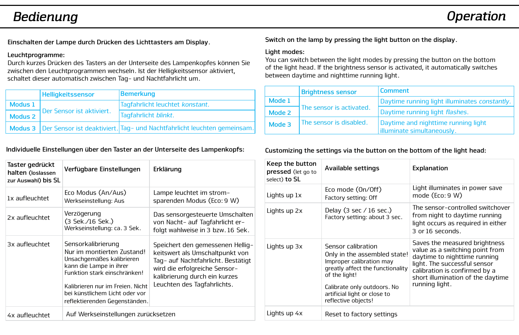# *Bedienung Operation*

**Einschalten der Lampe durch Drücken des Lichttasters am Display.**

#### **Leuchtprogramme:**

Durch kurzes Drücken des Tasters an der Unterseite des Lampenkopfes können Sie zwischen den Leuchtprogrammen wechseln. Ist der Helligkeitssensor aktiviert, schaltet dieser automatisch zwischen Tag- und Nachtfahrlicht um.

|                    | <b>Helligkeitssensor</b>  | Bemerkung                                                                           |  |  |  |  |
|--------------------|---------------------------|-------------------------------------------------------------------------------------|--|--|--|--|
| Modus 1            |                           | Tagfahrlicht leuchtet konstant.                                                     |  |  |  |  |
| Modus <sub>2</sub> | Der Sensor ist aktiviert. | Tagfahrlicht blinkt.                                                                |  |  |  |  |
|                    |                           | Modus 3   Der Sensor ist deaktiviert.   Tag- und Nachtfahrlicht leuchten gemeinsam. |  |  |  |  |

### **Individuelle Einstellungen über den Taster an der Unterseite des Lampenkopfs:**

| Taster gedrückt<br>halten (loslassen<br>zur Auswahl) bis SL                                                                                                                                                                                                       | Verfügbare Einstellungen                                        | Erklärung                                                                                                                                                                                                  |  |  |  |
|-------------------------------------------------------------------------------------------------------------------------------------------------------------------------------------------------------------------------------------------------------------------|-----------------------------------------------------------------|------------------------------------------------------------------------------------------------------------------------------------------------------------------------------------------------------------|--|--|--|
| 1x aufleuchtet                                                                                                                                                                                                                                                    | Eco Modus (An/Aus)<br>Werkseinstellung: Aus                     | Lampe leuchtet im strom-<br>sparenden Modus (Eco: 9 W)                                                                                                                                                     |  |  |  |
| 2x aufleuchtet                                                                                                                                                                                                                                                    | Verzögerung<br>(3 Sek./16 Sek.)<br>Werkseinstellung: ca. 3 Sek. | Das sensorgesteuerte Umschalten<br>von Nacht- auf Tagfahrlicht er-<br>folgt wahlweise in 3 bzw. 16 Sek.                                                                                                    |  |  |  |
| Sensorkalibrierung<br>3x aufleuchtet<br>Nur im montierten Zustand!<br>Unsachgemäßes kalibrieren<br>kann die Lampe in ihrer<br>Funktion stark einschränken!<br>Kalibrieren nur im Freien. Nicht<br>bei künstlichem Licht oder vor<br>reflektierenden Gegenständen. |                                                                 | Speichert den gemessenen Hellig-<br>keitswert als Umschaltpunkt von<br>Tag- auf Nachtfahrlicht. Bestätigt<br>wird die erfolgreiche Sensor-<br>kalibrierung durch ein kurzes<br>Leuchten des Tagfahrlichts. |  |  |  |
| 4x aufleuchtet                                                                                                                                                                                                                                                    | Auf Werkseinstellungen zurücksetzen                             |                                                                                                                                                                                                            |  |  |  |

**Switch on the lamp by pressing the light button on the display.**

#### **Light modes:**

You can switch between the light modes by pressing the button on the bottom of the light head. If the brightness sensor is activated, it automatically switches between daytime and nighttime running light.

|                                   | <b>Brightness sensor</b> | Comment                                                            |  |  |  |  |
|-----------------------------------|--------------------------|--------------------------------------------------------------------|--|--|--|--|
| Mode 1                            |                          | Daytime running light illuminates constantly.                      |  |  |  |  |
| Mode 2                            | The sensor is activated. | Daytime running light <i>flashes</i> .                             |  |  |  |  |
| The sensor is disabled.<br>Mode 3 |                          | Daytime and nighttime running light<br>lilluminate simultaneously. |  |  |  |  |

**Customizing the settings via the button on the bottom of the light head:**

| Keep the button<br>pressed (let go to<br>select) to SL | Available settings                                                                                                                                                                                                        | Explanation                                                                                                                                                                                                              |  |  |  |
|--------------------------------------------------------|---------------------------------------------------------------------------------------------------------------------------------------------------------------------------------------------------------------------------|--------------------------------------------------------------------------------------------------------------------------------------------------------------------------------------------------------------------------|--|--|--|
| Lights up 1x                                           | Eco mode (On/Off)<br>Factory setting: Off                                                                                                                                                                                 | Light illuminates in power save<br>mode (Eco: 9 W)                                                                                                                                                                       |  |  |  |
| Lights up 2x                                           | Delay (3 sec $/16$ sec.)<br>Factory setting: about 3 sec.                                                                                                                                                                 | The sensor-controlled switchover<br>from night to daytime running<br>light occurs as required in either<br>3 or 16 seconds.                                                                                              |  |  |  |
| Lights up 3x                                           | Sensor calibration<br>Only in the assembled state!<br>Improper calibration may<br>greatly affect the functionality<br>of the light!<br>Calibrate only outdoors. No<br>artificial light or close to<br>reflective objects! | Saves the measured brightness<br>value as a switching point from<br>daytime to nighttime running<br>light. The successful sensor<br>calibration is confirmed by a<br>short illumination of the daytime<br>running light. |  |  |  |
| Lights up 4x                                           | Reset to factory settings                                                                                                                                                                                                 |                                                                                                                                                                                                                          |  |  |  |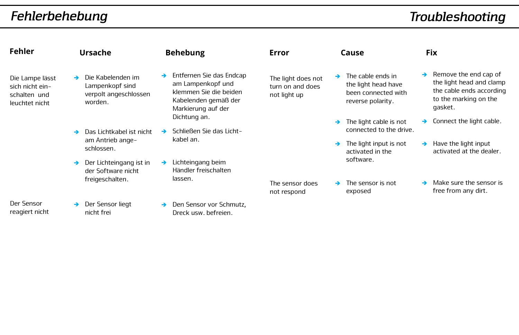# *Fehlerbehebung*

| Fehler                                                                                                                                                                                                                                          |   | Ursache                                                                  |   | <b>Behebung</b>                                                                                                       | Error                                                  |                                                   | Cause                                                                                |                                                  | <b>Fix</b>                                                                                                        |
|-------------------------------------------------------------------------------------------------------------------------------------------------------------------------------------------------------------------------------------------------|---|--------------------------------------------------------------------------|---|-----------------------------------------------------------------------------------------------------------------------|--------------------------------------------------------|---------------------------------------------------|--------------------------------------------------------------------------------------|--------------------------------------------------|-------------------------------------------------------------------------------------------------------------------|
| Die Lampe lässt<br>sich nicht ein-<br>schalten und<br>leuchtet nicht                                                                                                                                                                            | → | Die Kabelenden im<br>Lampenkopf sind<br>verpolt angeschlossen<br>worden. | → | Entfernen Sie das Endcap<br>am Lampenkopf und<br>klemmen Sie die beiden<br>Kabelenden gemäß der<br>Markierung auf der | The light does not<br>turn on and does<br>not light up | →                                                 | The cable ends in<br>the light head have<br>been connected with<br>reverse polarity. | $\rightarrow$                                    | Remove the end cap of<br>the light head and clamp<br>the cable ends according<br>to the marking on the<br>gasket. |
| Dichtung an.<br>Schließen Sie das Licht-<br>Das Lichtkabel ist nicht<br>kabel an.<br>am Antrieb ange-<br>schlossen.<br>Lichteingang beim<br>Der Lichteingang ist in<br>Händler freischalten<br>der Software nicht<br>freigeschalten.<br>lassen. |   |                                                                          |   |                                                                                                                       | →                                                      | The light cable is not<br>connected to the drive. |                                                                                      | Connect the light cable.                         |                                                                                                                   |
|                                                                                                                                                                                                                                                 |   |                                                                          |   |                                                                                                                       | →                                                      | The light input is not<br>activated in the        | →                                                                                    | Have the light input<br>activated at the dealer. |                                                                                                                   |
|                                                                                                                                                                                                                                                 |   |                                                                          |   | software.                                                                                                             |                                                        |                                                   |                                                                                      |                                                  |                                                                                                                   |
|                                                                                                                                                                                                                                                 |   |                                                                          |   |                                                                                                                       | The sensor does<br>not respond                         |                                                   | The sensor is not<br>exposed                                                         |                                                  | Make sure the sensor is<br>free from any dirt.                                                                    |
| Der Sensor<br>reagiert nicht                                                                                                                                                                                                                    |   | Der Sensor liegt<br>nicht frei                                           | → | Den Sensor vor Schmutz,<br>Dreck usw. befreien.                                                                       |                                                        |                                                   |                                                                                      |                                                  |                                                                                                                   |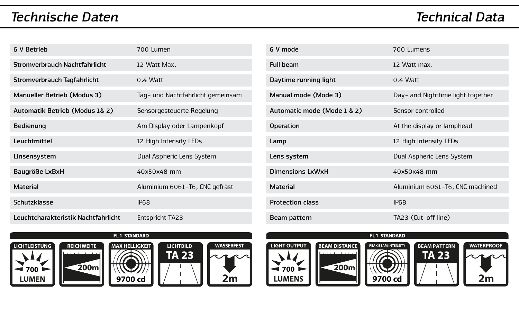# *Technische Daten Technical Data*

| 6 V Betrieb                         | 700 Lumen                         |
|-------------------------------------|-----------------------------------|
| Stromverbrauch Nachtfahrlicht       | 12 Watt Max                       |
| <b>Stromverbrauch Tagfahrlicht</b>  | $0.4$ Watt                        |
| Manueller Betrieb (Modus 3)         | Tag- und Nachtfahrlicht gemeinsam |
| Automatik Betrieb (Modus 1& 2)      | Sensorgesteuerte Regelung         |
| Bedienung                           | Am Display oder Lampenkopf        |
| I euchtmittel                       | 12 High Intensity LEDs            |
| Linsensystem                        | Dual Aspheric Lens System         |
| Baugröße LxBxH                      | 40x50x48 mm                       |
| <b>Material</b>                     | Aluminium 6061-T6, CNC gefräst    |
| Schutzklasse                        | IP68                              |
| Leuchtcharakteristik Nachtfahrlicht | Entspricht TA23                   |

| 6 V mode                    | 700 Lumens                        |
|-----------------------------|-----------------------------------|
| <b>Full beam</b>            | 12 Watt max.                      |
| Daytime running light       | $0.4$ Watt                        |
| Manual mode (Mode 3)        | Day- and Nighttime light together |
| Automatic mode (Mode 1 & 2) | Sensor controlled                 |
| <b>Operation</b>            | At the display or lamphead        |
| Lamp                        | 12 High Intensity LEDs            |
| Lens system                 | Dual Aspheric Lens System         |
| Dimensions LxWxH            | 40x50x48 mm                       |
| <b>Material</b>             | Aluminium 6061-T6, CNC machined   |
| <b>Protection class</b>     | IP68                              |
| Beam pattern                | TA23 (Cut-off line)               |







FL1 STANDARD







FL1 STANDARD



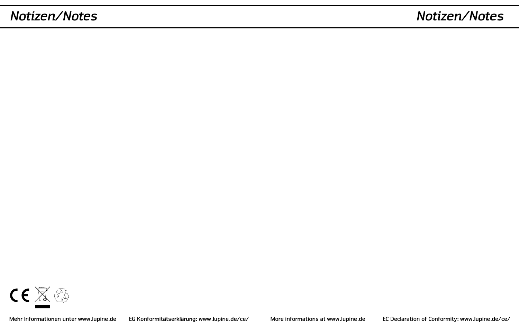# *Notizen/Notes Notizen/Notes*